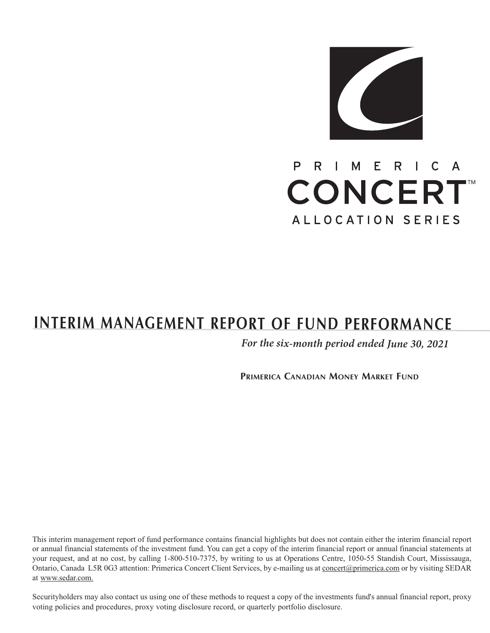

# $R$ I C A P R I M E **CONCERT** ALLOCATION SERIES

# **INTERIM MANAGEMENT REPORT OF FUND PERFORMANCE**

*For the six-month period ended June 30, <sup>2021</sup>*

**PRIMERICA CANADIAN MONEY MARKET FUND**

This interim management report of fund performance contains financial highlights but does not contain either the interim financial report or annual financial statements of the investment fund. You can get a copy of the interim financial report or annual financial statements at your request, and at no cost, by calling 1-800-510-7375, by writing to us at Operations Centre, 1050-55 Standish Court, Mississauga, Ontario, Canada L5R 0G3 attention: Primerica Concert Client Services, by e-mailing us at concert@primerica.com or by visiting SEDAR at www.sedar.com.

Securityholders may also contact us using one of these methods to request a copy of the investments fund's annual financial report, proxy voting policies and procedures, proxy voting disclosure record, or quarterly portfolio disclosure.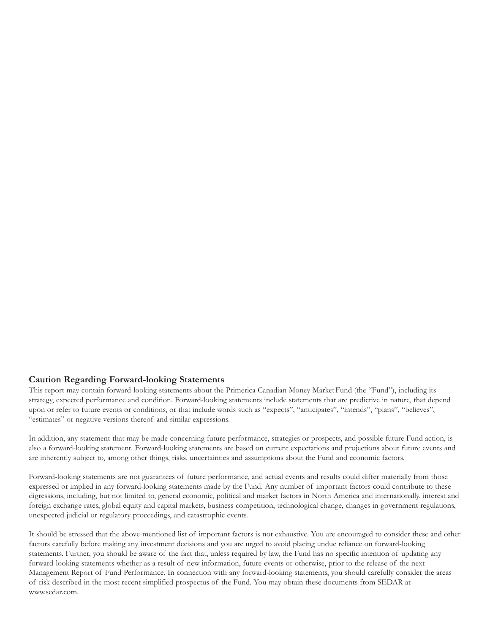#### **Caution Regarding Forward-looking Statements**

This report may contain forward-looking statements about the Primerica Canadian Money MarketFund (the "Fund"), including its strategy, expected performance and condition. Forward-looking statements include statements that are predictive in nature, that depend upon or refer to future events or conditions, or that include words such as "expects", "anticipates", "intends", "plans", "believes", "estimates" or negative versions thereof and similar expressions.

In addition, any statement that may be made concerning future performance, strategies or prospects, and possible future Fund action, is also a forward-looking statement. Forward-looking statements are based on current expectations and projections about future events and are inherently subject to, among other things, risks, uncertainties and assumptions about the Fund and economic factors.

Forward-looking statements are not guarantees of future performance, and actual events and results could differ materially from those expressed or implied in any forward-looking statements made by the Fund. Any number of important factors could contribute to these digressions, including, but not limited to, general economic, political and market factors in North America and internationally, interest and foreign exchange rates, global equity and capital markets, business competition, technological change, changes in government regulations, unexpected judicial or regulatory proceedings, and catastrophic events.

It should be stressed that the above-mentioned list of important factors is not exhaustive. You are encouraged to consider these and other factors carefully before making any investment decisions and you are urged to avoid placing undue reliance on forward-looking statements. Further, you should be aware of the fact that, unless required by law, the Fund has no specific intention of updating any forward-looking statements whether as a result of new information, future events or otherwise, prior to the release of the next Management Report of Fund Performance. In connection with any forward-looking statements, you should carefully consider the areas of risk described in the most recent simplified prospectus of the Fund. You may obtain these documents from SEDAR at www.sedar.com.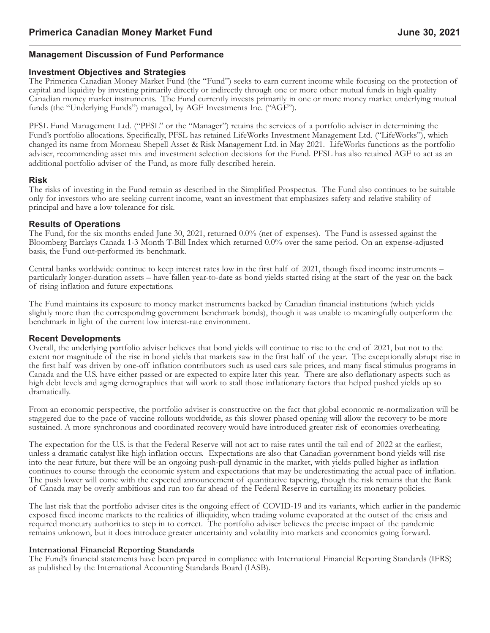## **Management Discussion of Fund Performance**

#### **Investment Objectives and Strategies**

The Primerica Canadian Money Market Fund (the "Fund") seeks to earn current income while focusing on the protection of capital and liquidity by investing primarily directly or indirectly through one or more other mutual funds in high quality Canadian money market instruments. The Fund currently invests primarily in one or more money market underlying mutual funds (the "Underlying Funds") managed, by AGF Investments Inc. ("AGF").

PFSL Fund Management Ltd. ("PFSL" or the "Manager") retains the services of a portfolio adviser in determining the Fund's portfolio allocations. Specifically, PFSL has retained LifeWorks Investment Management Ltd. ("LifeWorks"), which changed its name from Morneau Shepell Asset & Risk Management Ltd. in May 2021. LifeWorks functions as the portfolio adviser, recommending asset mix and investment selection decisions for the Fund. PFSL has also retained AGF to act as an additional portfolio adviser of the Fund, as more fully described herein.

#### **Risk**

The risks of investing in the Fund remain as described in the Simplified Prospectus. The Fund also continues to be suitable only for investors who are seeking current income, want an investment that emphasizes safety and relative stability of principal and have a low tolerance for risk.

#### **Results of Operations**

The Fund, for the six months ended June 30, 2021, returned 0.0% (net of expenses). The Fund is assessed against the Bloomberg Barclays Canada 1-3 Month T-Bill Index which returned 0.0% over the same period. On an expense-adjusted basis, the Fund out-performed its benchmark.

Central banks worldwide continue to keep interest rates low in the first half of 2021, though fixed income instruments –<br>particularly longer-duration assets – have fallen year-to-date as bond yields started rising at the s of rising inflation and future expectations.

The Fund maintains its exposure to money market instruments backed by Canadian financial institutions (which yields slightly more than the corresponding government benchmark bonds), though it was unable to meaningfully outperform the benchmark in light of the current low interest-rate environment.

#### **Recent Developments**

Overall, the underlying portfolio adviser believes that bond yields will continue to rise to the end of 2021, but not to the extent nor magnitude of the rise in bond yields that markets saw in the first half of the year. The exceptionally abrupt rise in the first half was driven by one-off inflation contributors such as used cars sale prices, and many fiscal stimulus programs in Canada and the U.S. have either passed or are expected to expire later this year. There are also deflationary aspects such as high debt levels and aging demographics that will work to stall those inflationary factors that helped pushed yields up so dramatically.

From an economic perspective, the portfolio adviser is constructive on the fact that global economic re-normalization will be staggered due to the pace of vaccine rollouts worldwide, as this slower phased opening will allow the recovery to be more sustained. A more synchronous and coordinated recovery would have introduced greater risk of economies overheating.

The expectation for the U.S. is that the Federal Reserve will not act to raise rates until the tail end of 2022 at the earliest, unless a dramatic catalyst like high inflation occurs. Expectations are also that Canadian go into the near future, but there will be an ongoing push-pull dynamic in the market, with yields pulled higher as inflation continues to course through the economic system and expectations that may be underestimating the actual pace of inflation.<br>The push lower will come with the expected announcement of quantitative tapering, though the risk r of Canada may be overly ambitious and run too far ahead of the Federal Reserve in curtailing its monetary policies.

The last risk that the portfolio adviser cites is the ongoing effect of COVID-19 and its variants, which earlier in the pandemic exposed fixed income markets to the realities of illiquidity, when trading volume evaporated at the outset of the crisis and required monetary authorities to step in to correct. The portfolio adviser believes the precise impact of the pandemic remains unknown, but it does introduce greater uncertainty and volatility into markets and economics going forward.

#### **International Financial Reporting Standards**

The Fund's financial statements have been prepared in compliance with International Financial Reporting Standards (IFRS) as published by the International Accounting Standards Board (IASB).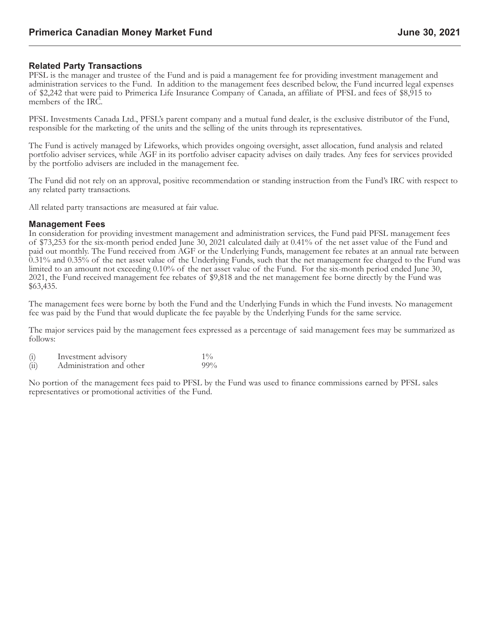#### **Related Party Transactions**

PFSL is the manager and trustee of the Fund and is paid a management fee for providing investment management and administration services to the Fund. In addition to the management fees described below, the Fund incurred legal expenses of \$2,242 that were paid to Primerica Life Insurance Company of Canada, an affiliate of PFSL and fees of \$8,915 to members of the IRC.

PFSL Investments Canada Ltd., PFSL's parent company and a mutual fund dealer, is the exclusive distributor of the Fund, responsible for the marketing of the units and the selling of the units through its representatives.

The Fund is actively managed by Lifeworks, which provides ongoing oversight, asset allocation, fund analysis and related portfolio adviser services, while AGF in its portfolio adviser capacity advises on daily trades. Any fees for services provided by the portfolio advisers are included in the management fee.

The Fund did not rely on an approval, positive recommendation or standing instruction from the Fund's IRC with respect to any related party transactions.

All related party transactions are measured at fair value.

#### **Management Fees**

In consideration for providing investment management and administration services, the Fund paid PFSL management fees of \$73,253 for the six-month period ended June 30, 2021 calculated daily at 0.41% of the net asset value of the Fund and paid out monthly. The Fund received from AGF or the Underlying Funds, management fee rebates at an annual rate between 0.31% and 0.35% of the net asset value of the Underlying Funds, such that the net management fee charged to the Fund was limited to an amount not exceeding 0.10% of the net asset value of the Fund. For the six-month period ended June 30, 2021, the Fund received management fee rebates of \$9,818 and the net management fee borne directly by the Fund was \$63,435.

The management fees were borne by both the Fund and the Underlying Funds in which the Fund invests. No management fee was paid by the Fund that would duplicate the fee payable by the Underlying Funds for the same service.

The major services paid by the management fees expressed as a percentage of said management fees may be summarized as follows:

(i) Investment advisory 1% 1%<br>
(ii) Administration and other 99%  $(ii)$  Administration and other

No portion of the management fees paid to PFSL by the Fund was used to finance commissions earned by PFSL sales representatives or promotional activities of the Fund.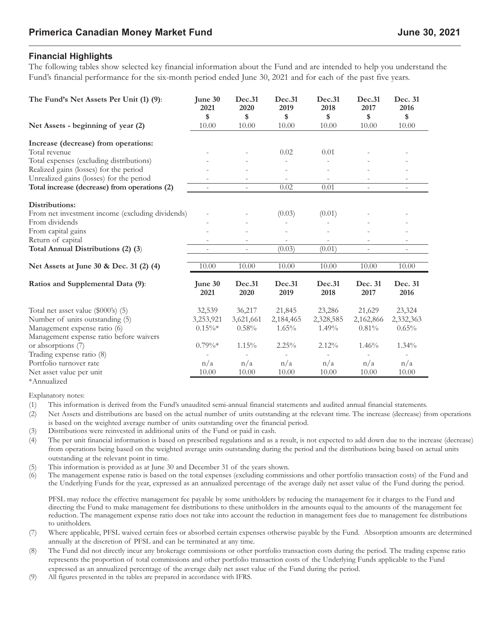# **Financial Highlights**

The following tables show selected key financial information about the Fund and are intended to help you understand the Fund's financial performance for the six-month period ended June 30, 2021 and for each of the past five years.

| The Fund's Net Assets Per Unit (1) (9):          | June 30<br>2021<br>\$. | Dec.31<br>2020<br>$\mathbf s$ | Dec.31<br>2019<br>$\boldsymbol{\mathsf{s}}$ | Dec.31<br>2018<br>\$ | Dec.31<br>2017<br>$\mathbf s$ | Dec. 31<br>2016<br>$\boldsymbol{\mathsf{s}}$ |
|--------------------------------------------------|------------------------|-------------------------------|---------------------------------------------|----------------------|-------------------------------|----------------------------------------------|
| Net Assets - beginning of year (2)               | 10.00                  | 10.00                         | 10.00                                       | 10.00                | 10.00                         | 10.00                                        |
| Increase (decrease) from operations:             |                        |                               |                                             |                      |                               |                                              |
| Total revenue                                    |                        |                               | 0.02                                        | 0.01                 |                               |                                              |
| Total expenses (excluding distributions)         |                        |                               |                                             |                      |                               |                                              |
| Realized gains (losses) for the period           |                        |                               |                                             |                      |                               |                                              |
| Unrealized gains (losses) for the period         |                        | $\overline{\phantom{a}}$      | $\sim$                                      |                      |                               | $\overline{\phantom{a}}$                     |
| Total increase (decrease) from operations (2)    | $\sim$                 | $\sim$                        | 0.02                                        | 0.01                 | $\sim$                        | $\overline{\phantom{a}}$                     |
| Distributions:                                   |                        |                               |                                             |                      |                               |                                              |
| From net investment income (excluding dividends) |                        |                               | (0.03)                                      | (0.01)               |                               |                                              |
| From dividends                                   |                        |                               | $\overline{\phantom{a}}$                    |                      |                               |                                              |
| From capital gains                               |                        |                               |                                             |                      |                               |                                              |
| Return of capital                                |                        | $\sim$                        | $\sim$                                      |                      | $\overline{\phantom{a}}$      | $\sim$                                       |
| Total Annual Distributions (2) (3)               |                        | $\overline{\phantom{a}}$      | (0.03)                                      | (0.01)               | $\sim$                        | $\sim$                                       |
|                                                  |                        |                               |                                             |                      |                               |                                              |
| Net Assets at June 30 & Dec. 31 (2) (4)          | 10.00                  | 10.00                         | 10.00                                       | 10.00                | 10.00                         | 10.00                                        |
| Ratios and Supplemental Data (9):                | June 30                | Dec.31                        | Dec.31                                      | Dec.31               | Dec. 31                       | Dec. 31                                      |
|                                                  | 2021                   | 2020                          | 2019                                        | 2018                 | 2017                          | 2016                                         |
| Total net asset value (\$000's) (5)              | 32,539                 | 36,217                        | 21,845                                      | 23,286               | 21,629                        | 23,324                                       |
| Number of units outstanding (5)                  | 3,253,921              | 3,621,661                     | 2,184,465                                   | 2,328,585            | 2,162,866                     | 2,332,363                                    |
| Management expense ratio (6)                     | $0.15\%*$              | $0.58\%$                      | 1.65%                                       | 1.49%                | 0.81%                         | $0.65\%$                                     |
| Management expense ratio before waivers          |                        |                               |                                             |                      |                               |                                              |
| or absorptions (7)                               | $0.79\%*$              | 1.15%                         | 2.25%                                       | 2.12%                | 1.46%                         | 1.34%                                        |
| Trading expense ratio (8)                        |                        |                               |                                             |                      |                               |                                              |
| Portfolio turnover rate                          | n/a                    | n/a                           | n/a                                         | n/a                  | n/a                           | n/a                                          |
| Net asset value per unit                         | 10.00                  | 10.00                         | 10.00                                       | 10.00                | 10.00                         | 10.00                                        |
| *Annualized                                      |                        |                               |                                             |                      |                               |                                              |

Explanatory notes:

(1) This information is derived from the Fund's unaudited semi-annual financial statements and audited annual financial statements.

- (2) Net Assets and distributions are based on the actual number of units outstanding at the relevant time. The increase (decrease) from operations is based on the weighted average number of units outstanding over the financial period.
- (3) Distributions were reinvested in additional units of the Fund or paid in cash.
- (4) The per unit financial information is based on prescribed regulations and as a result, is not expected to add down due to the increase (decrease) from operations being based on the weighted average units outstanding during the period and the distributions being based on actual units outstanding at the relevant point in time.
- (5) This information is provided as at June 30 and December 31 of the years shown.<br>(6) The management expense ratio is based on the total expenses (excluding commiss
- The management expense ratio is based on the total expenses (excluding commissions and other portfolio transaction costs) of the Fund and the Underlying Funds for the year, expressed as an annualized percentage of the average daily net asset value of the Fund during the period.

PFSL may reduce the effective management fee payable by some unitholders by reducing the management fee it charges to the Fund and directing the Fund to make management fee distributions to these unitholders in the amounts equal to the amounts of the management fee reduction. The management expense ratio does not take into account the reduction in management fees due to management fee distributions to unitholders.

- (7) Where applicable, PFSL waived certain fees or absorbed certain expenses otherwise payable by the Fund. Absorption amounts are determined annually at the discretion of PFSL and can be terminated at any time.
- (8) The Fund did not directly incur any brokerage commissions or other portfolio transaction costs during the period. The trading expense ratio represents the proportion of total commissions and other portfolio transaction costs of the Underlying Funds applicable to the Fund expressed as an annualized percentage of the average daily net asset value of the Fund during the period.
- (9) All figures presented in the tables are prepared in accordance with IFRS.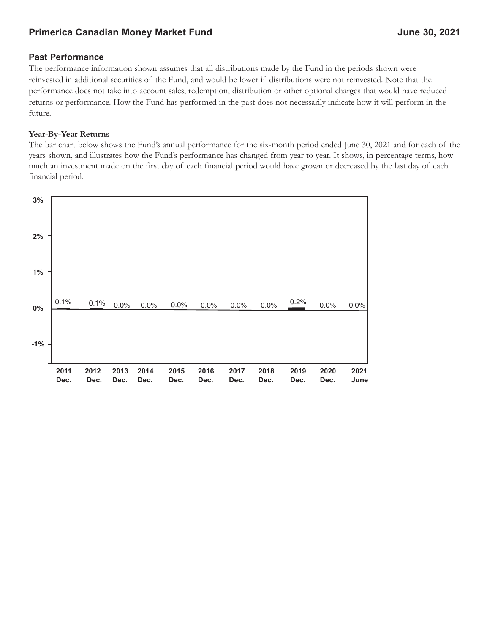## **Past Performance**

The performance information shown assumes that all distributions made by the Fund in the periods shown were reinvested in additional securities of the Fund, and would be lower if distributions were not reinvested. Note that the performance does not take into account sales, redemption, distribution or other optional charges that would have reduced returns or performance. How the Fund has performed in the past does not necessarily indicate how it will perform in the future.

#### **Year-By-Year Returns**

The bar chart below shows the Fund's annual performance for the six-month period ended June 30, 2021 and for each of the years shown, and illustrates how the Fund's performance has changed from year to year. It shows, in percentage terms, how much an investment made on the first day of each financial period would have grown or decreased by the last day of each financial period.

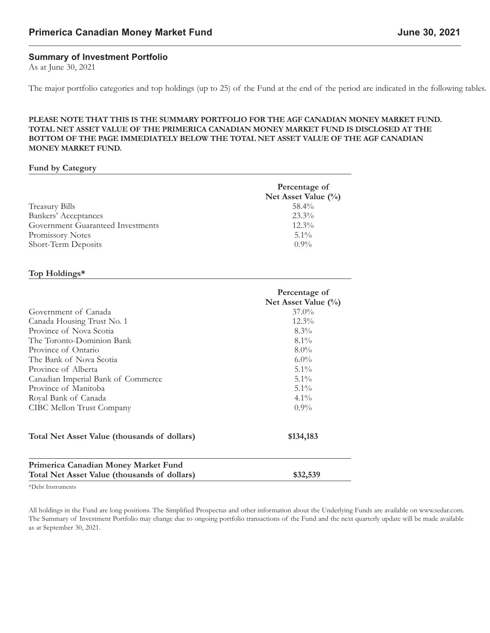# **Summary of Investment Portfolio**

As at June 30, 2021

The major portfolio categories and top holdings (up to 25) of the Fund at the end of the period are indicated in the following tables.

#### **PLEASE NOTE THAT THIS IS THE SUMMARY PORTFOLIO FOR THE AGF CANADIAN MONEY MARKET FUND. TOTAL NET ASSET VALUE OF THE PRIMERICA CANADIAN MONEY MARKET FUND IS DISCLOSED AT THE BOTTOM OF THE PAGE IMMEDIATELY BELOW THE TOTAL NET ASSET VALUE OF THE AGF CANADIAN MONEY MARKET FUND.**

#### **Fund by Category**

|                                   | Percentage of          |
|-----------------------------------|------------------------|
|                                   | Net Asset Value $(\%)$ |
| <b>Treasury Bills</b>             | $58.4\%$               |
| Bankers' Acceptances              | $23.3\%$               |
| Government Guaranteed Investments | $12.3\%$               |
| Promissory Notes                  | $5.1\%$                |
| Short-Term Deposits               | $0.9\%$                |

#### **Top Holdings\***

| Percentage of<br>Net Asset Value $(\%)$ |
|-----------------------------------------|
| $37.0\%$                                |
| $12.3\%$                                |
| $8.3\%$                                 |
| $8.1\%$                                 |
| $8.0\%$                                 |
| $6.0\%$                                 |
| $5.1\%$                                 |
| $5.1\%$                                 |
| $5.1\%$                                 |
| $4.1\%$                                 |
| $0.9\%$                                 |
| \$134,183                               |
| \$32,539                                |
|                                         |

\*Debt Instruments

All holdings in the Fund are long positions. The Simplified Prospectus and other information about the Underlying Funds are available on www.sedar.com. The Summary of Investment Portfolio may change due to ongoing portfolio transactions of the Fund and the next quarterly update will be made available as at September 30, 2021.